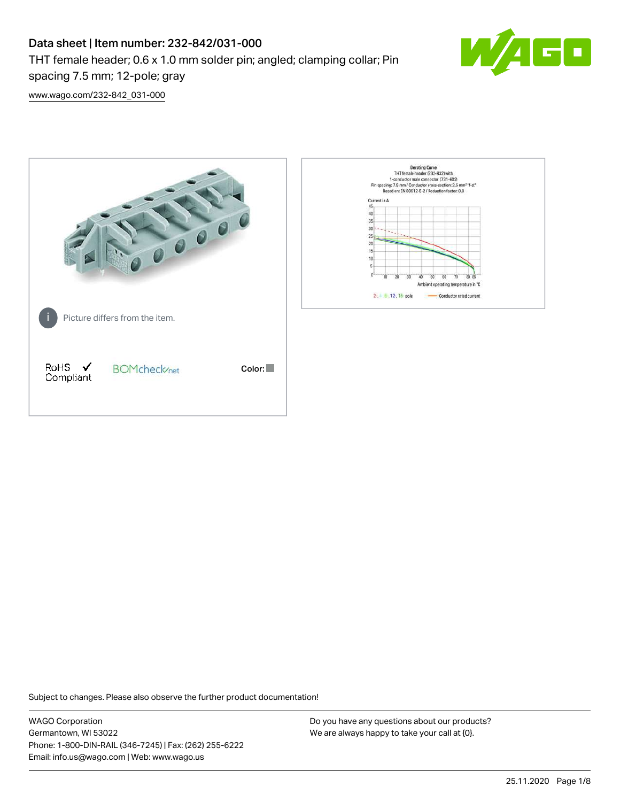# Data sheet | Item number: 232-842/031-000

THT female header; 0.6 x 1.0 mm solder pin; angled; clamping collar; Pin



[www.wago.com/232-842\\_031-000](http://www.wago.com/232-842_031-000)

spacing 7.5 mm; 12-pole; gray



Subject to changes. Please also observe the further product documentation!

WAGO Corporation Germantown, WI 53022 Phone: 1-800-DIN-RAIL (346-7245) | Fax: (262) 255-6222 Email: info.us@wago.com | Web: www.wago.us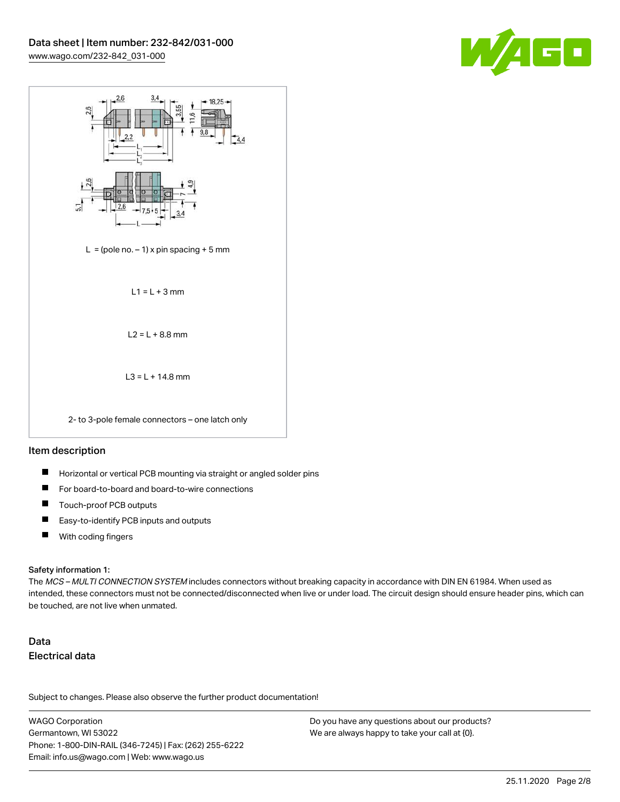



## Item description

- П Horizontal or vertical PCB mounting via straight or angled solder pins
- П For board-to-board and board-to-wire connections
- П Touch-proof PCB outputs
- $\blacksquare$ Easy-to-identify PCB inputs and outputs
- $\blacksquare$ With coding fingers

#### Safety information 1:

The MCS - MULTI CONNECTION SYSTEM includes connectors without breaking capacity in accordance with DIN EN 61984. When used as intended, these connectors must not be connected/disconnected when live or under load. The circuit design should ensure header pins, which can be touched, are not live when unmated.

# Data Electrical data

Subject to changes. Please also observe the further product documentation!

WAGO Corporation Germantown, WI 53022 Phone: 1-800-DIN-RAIL (346-7245) | Fax: (262) 255-6222 Email: info.us@wago.com | Web: www.wago.us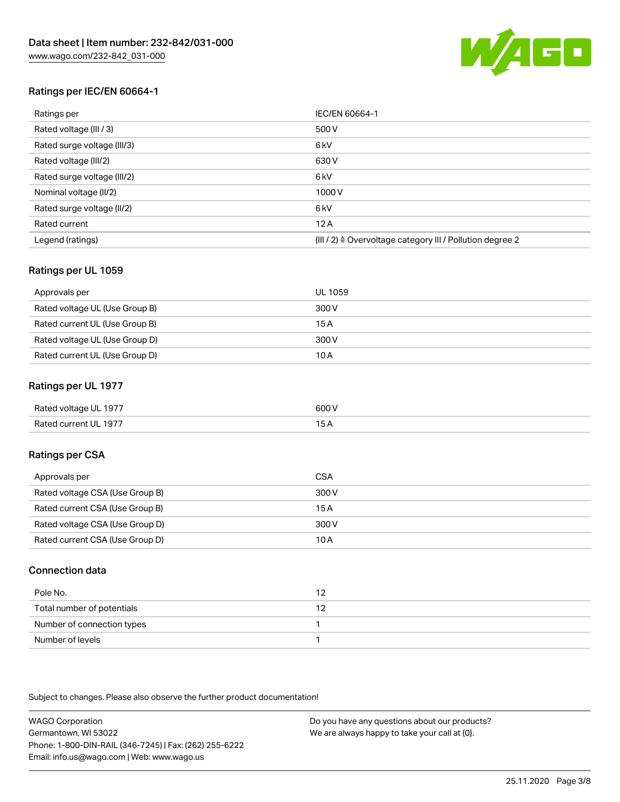

# Ratings per IEC/EN 60664-1

| Ratings per                 | IEC/EN 60664-1                                            |
|-----------------------------|-----------------------------------------------------------|
| Rated voltage (III / 3)     | 500 V                                                     |
| Rated surge voltage (III/3) | 6 <sub>kV</sub>                                           |
| Rated voltage (III/2)       | 630 V                                                     |
| Rated surge voltage (III/2) | 6 <sub>kV</sub>                                           |
| Nominal voltage (II/2)      | 1000 V                                                    |
| Rated surge voltage (II/2)  | 6 <sub>kV</sub>                                           |
| Rated current               | 12A                                                       |
| Legend (ratings)            | (III / 2) ≙ Overvoltage category III / Pollution degree 2 |

# Ratings per UL 1059

| Approvals per                  | UL 1059 |
|--------------------------------|---------|
| Rated voltage UL (Use Group B) | 300 V   |
| Rated current UL (Use Group B) | 15 A    |
| Rated voltage UL (Use Group D) | 300 V   |
| Rated current UL (Use Group D) | 10 A    |

## Ratings per UL 1977

| Rated voltage UL 1977 | 600 V |
|-----------------------|-------|
| Rated current UL 1977 |       |

# Ratings per CSA

| Approvals per                   | CSA   |
|---------------------------------|-------|
| Rated voltage CSA (Use Group B) | 300 V |
| Rated current CSA (Use Group B) | 15 A  |
| Rated voltage CSA (Use Group D) | 300 V |
| Rated current CSA (Use Group D) | 10 A  |

## Connection data

| Pole No.                   | 12 |
|----------------------------|----|
| Total number of potentials |    |
| Number of connection types |    |
| Number of levels           |    |

Subject to changes. Please also observe the further product documentation!

WAGO Corporation Germantown, WI 53022 Phone: 1-800-DIN-RAIL (346-7245) | Fax: (262) 255-6222 Email: info.us@wago.com | Web: www.wago.us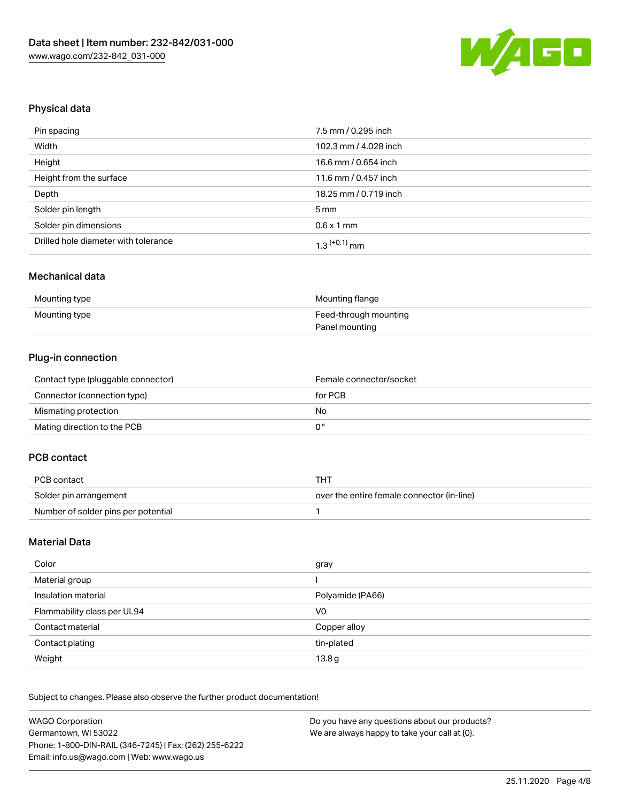

## Physical data

| Pin spacing                          | 7.5 mm / 0.295 inch   |
|--------------------------------------|-----------------------|
| Width                                | 102.3 mm / 4.028 inch |
| Height                               | 16.6 mm / 0.654 inch  |
| Height from the surface              | 11.6 mm / 0.457 inch  |
| Depth                                | 18.25 mm / 0.719 inch |
| Solder pin length                    | 5 mm                  |
| Solder pin dimensions                | $0.6 \times 1$ mm     |
| Drilled hole diameter with tolerance | $1.3$ $(+0.1)$ mm     |

#### Mechanical data

| Mounting type | Mounting flange       |
|---------------|-----------------------|
| Mounting type | Feed-through mounting |
|               | Panel mounting        |

# Plug-in connection

| Contact type (pluggable connector) | Female connector/socket |
|------------------------------------|-------------------------|
| Connector (connection type)        | for PCB                 |
| Mismating protection               | No                      |
| Mating direction to the PCB        |                         |

# PCB contact

| PCB contact                         | THT                                        |  |
|-------------------------------------|--------------------------------------------|--|
| Solder pin arrangement              | over the entire female connector (in-line) |  |
| Number of solder pins per potential |                                            |  |

### Material Data

| Color                       | gray             |
|-----------------------------|------------------|
| Material group              |                  |
| Insulation material         | Polyamide (PA66) |
| Flammability class per UL94 | V <sub>0</sub>   |
| Contact material            | Copper alloy     |
| Contact plating             | tin-plated       |
| Weight                      | 13.8g            |

Subject to changes. Please also observe the further product documentation!

| <b>WAGO Corporation</b>                                | Do you have any questions about our products? |
|--------------------------------------------------------|-----------------------------------------------|
| Germantown, WI 53022                                   | We are always happy to take your call at {0}. |
| Phone: 1-800-DIN-RAIL (346-7245)   Fax: (262) 255-6222 |                                               |
| Email: info.us@wago.com   Web: www.wago.us             |                                               |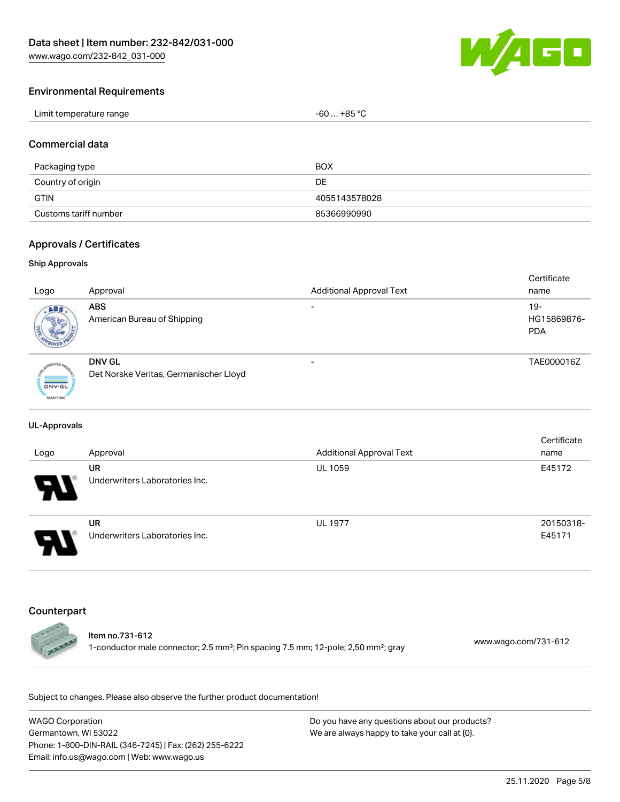[www.wago.com/232-842\\_031-000](http://www.wago.com/232-842_031-000)



### Environmental Requirements

| Limit temperature range<br>$-60+85 °C$<br>the contract of the contract of the contract of the contract of the contract of the contract of the contract of |  |
|-----------------------------------------------------------------------------------------------------------------------------------------------------------|--|
|-----------------------------------------------------------------------------------------------------------------------------------------------------------|--|

### Commercial data

| Packaging type        | BOX           |
|-----------------------|---------------|
| Country of origin     | DE            |
| <b>GTIN</b>           | 4055143578028 |
| Customs tariff number | 85366990990   |

### Approvals / Certificates

#### Ship Approvals

|                 |                                        |                                 | Certificate |
|-----------------|----------------------------------------|---------------------------------|-------------|
| Logo            | Approval                               | <b>Additional Approval Text</b> | name        |
| ABS.            | <b>ABS</b>                             |                                 | $19 -$      |
|                 | American Bureau of Shipping            |                                 | HG15869876- |
|                 |                                        |                                 | <b>PDA</b>  |
|                 |                                        |                                 |             |
|                 | DNV GL                                 |                                 | TAE000016Z  |
|                 |                                        |                                 |             |
|                 | Det Norske Veritas, Germanischer Lloyd |                                 |             |
| <b>DNV-GL</b>   |                                        |                                 |             |
| <b>MARITIME</b> |                                        |                                 |             |

#### UL-Approvals

| Logo                       | Approval                                    | <b>Additional Approval Text</b> | Certificate<br>name |
|----------------------------|---------------------------------------------|---------------------------------|---------------------|
| $\boldsymbol{\mathcal{A}}$ | UR<br>Underwriters Laboratories Inc.        | <b>UL 1059</b>                  | E45172              |
| Э.                         | <b>UR</b><br>Underwriters Laboratories Inc. | <b>UL 1977</b>                  | 20150318-<br>E45171 |

### Counterpart

#### Item no.731-612

1-conductor male connector; 2.5 mm²; Pin spacing 7.5 mm; 12-pole; 2,50 mm²; gray [www.wago.com/731-612](https://www.wago.com/731-612)

Subject to changes. Please also observe the further product documentation!

WAGO Corporation Germantown, WI 53022 Phone: 1-800-DIN-RAIL (346-7245) | Fax: (262) 255-6222 Email: info.us@wago.com | Web: www.wago.us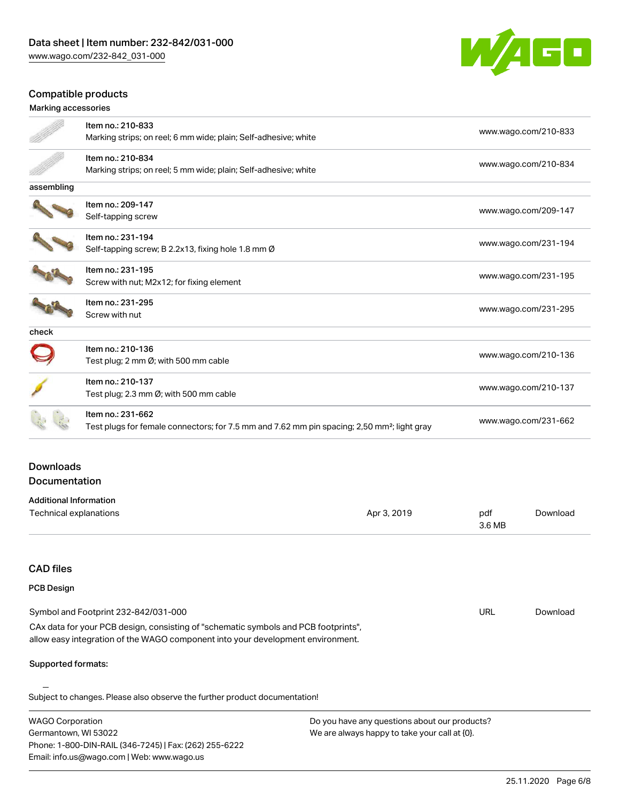

# Compatible products

|                                          | Item no.: 210-833                                                                                       |             |                      | www.wago.com/210-833 |
|------------------------------------------|---------------------------------------------------------------------------------------------------------|-------------|----------------------|----------------------|
|                                          | Marking strips; on reel; 6 mm wide; plain; Self-adhesive; white                                         |             |                      |                      |
|                                          | Item no.: 210-834                                                                                       |             |                      |                      |
|                                          | Marking strips; on reel; 5 mm wide; plain; Self-adhesive; white                                         |             | www.wago.com/210-834 |                      |
| assembling                               |                                                                                                         |             |                      |                      |
|                                          | Item no.: 209-147                                                                                       |             |                      |                      |
|                                          | Self-tapping screw                                                                                      |             |                      | www.wago.com/209-147 |
|                                          | Item no.: 231-194                                                                                       |             |                      |                      |
|                                          | Self-tapping screw; B 2.2x13, fixing hole 1.8 mm Ø                                                      |             |                      | www.wago.com/231-194 |
|                                          | Item no.: 231-195                                                                                       |             |                      |                      |
|                                          | Screw with nut; M2x12; for fixing element                                                               |             |                      | www.wago.com/231-195 |
|                                          | Item no.: 231-295                                                                                       |             |                      |                      |
|                                          | Screw with nut                                                                                          |             |                      | www.wago.com/231-295 |
| check                                    |                                                                                                         |             |                      |                      |
|                                          | Item no.: 210-136                                                                                       |             |                      | www.wago.com/210-136 |
|                                          | Test plug; 2 mm Ø; with 500 mm cable                                                                    |             |                      |                      |
|                                          | Item no.: 210-137                                                                                       |             |                      |                      |
|                                          | Test plug; 2.3 mm Ø; with 500 mm cable                                                                  |             | www.wago.com/210-137 |                      |
|                                          | Item no.: 231-662                                                                                       |             |                      |                      |
|                                          | Test plugs for female connectors; for 7.5 mm and 7.62 mm pin spacing; 2,50 mm <sup>2</sup> ; light gray |             | www.wago.com/231-662 |                      |
|                                          |                                                                                                         |             |                      |                      |
| <b>Downloads</b><br><b>Documentation</b> |                                                                                                         |             |                      |                      |
|                                          |                                                                                                         |             |                      |                      |
| <b>Additional Information</b>            |                                                                                                         |             |                      |                      |
|                                          | Technical explanations                                                                                  | Apr 3, 2019 | pdf<br>3.6 MB        | Download             |

## CAD files

Email: info.us@wago.com | Web: www.wago.us

| <b>PCB Design</b>                                                                                                                                                      |                                               |     |          |  |
|------------------------------------------------------------------------------------------------------------------------------------------------------------------------|-----------------------------------------------|-----|----------|--|
| Symbol and Footprint 232-842/031-000                                                                                                                                   |                                               | URL | Download |  |
| CAx data for your PCB design, consisting of "schematic symbols and PCB footprints",<br>allow easy integration of the WAGO component into your development environment. |                                               |     |          |  |
| Supported formats:                                                                                                                                                     |                                               |     |          |  |
| Subject to changes. Please also observe the further product documentation!                                                                                             |                                               |     |          |  |
| <b>WAGO Corporation</b>                                                                                                                                                | Do you have any questions about our products? |     |          |  |
| Germantown, WI 53022                                                                                                                                                   | We are always happy to take your call at {0}. |     |          |  |
| Phone: 1-800-DIN-RAIL (346-7245)   Fax: (262) 255-6222                                                                                                                 |                                               |     |          |  |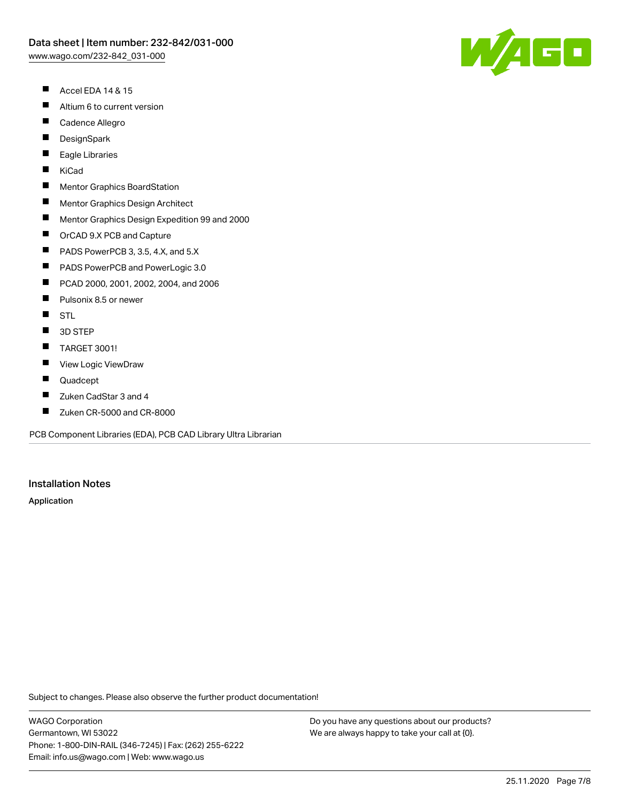- $\blacksquare$ Accel EDA 14 & 15
- $\blacksquare$ Altium 6 to current version
- $\blacksquare$ Cadence Allegro
- $\blacksquare$ **DesignSpark**
- П Eagle Libraries
- $\blacksquare$ KiCad
- $\blacksquare$ Mentor Graphics BoardStation
- $\blacksquare$ Mentor Graphics Design Architect
- $\blacksquare$ Mentor Graphics Design Expedition 99 and 2000
- $\blacksquare$ OrCAD 9.X PCB and Capture
- $\blacksquare$ PADS PowerPCB 3, 3.5, 4.X, and 5.X
- $\blacksquare$ PADS PowerPCB and PowerLogic 3.0
- $\blacksquare$ PCAD 2000, 2001, 2002, 2004, and 2006
- $\blacksquare$ Pulsonix 8.5 or newer
- $\blacksquare$ **STL**
- $\blacksquare$ 3D STEP
- $\blacksquare$ TARGET 3001!
- $\blacksquare$ View Logic ViewDraw
- $\blacksquare$ Quadcept
- П Zuken CadStar 3 and 4
- $\blacksquare$ Zuken CR-5000 and CR-8000

PCB Component Libraries (EDA), PCB CAD Library Ultra Librarian

#### Installation Notes

Application

Subject to changes. Please also observe the further product documentation!

WAGO Corporation Germantown, WI 53022 Phone: 1-800-DIN-RAIL (346-7245) | Fax: (262) 255-6222 Email: info.us@wago.com | Web: www.wago.us